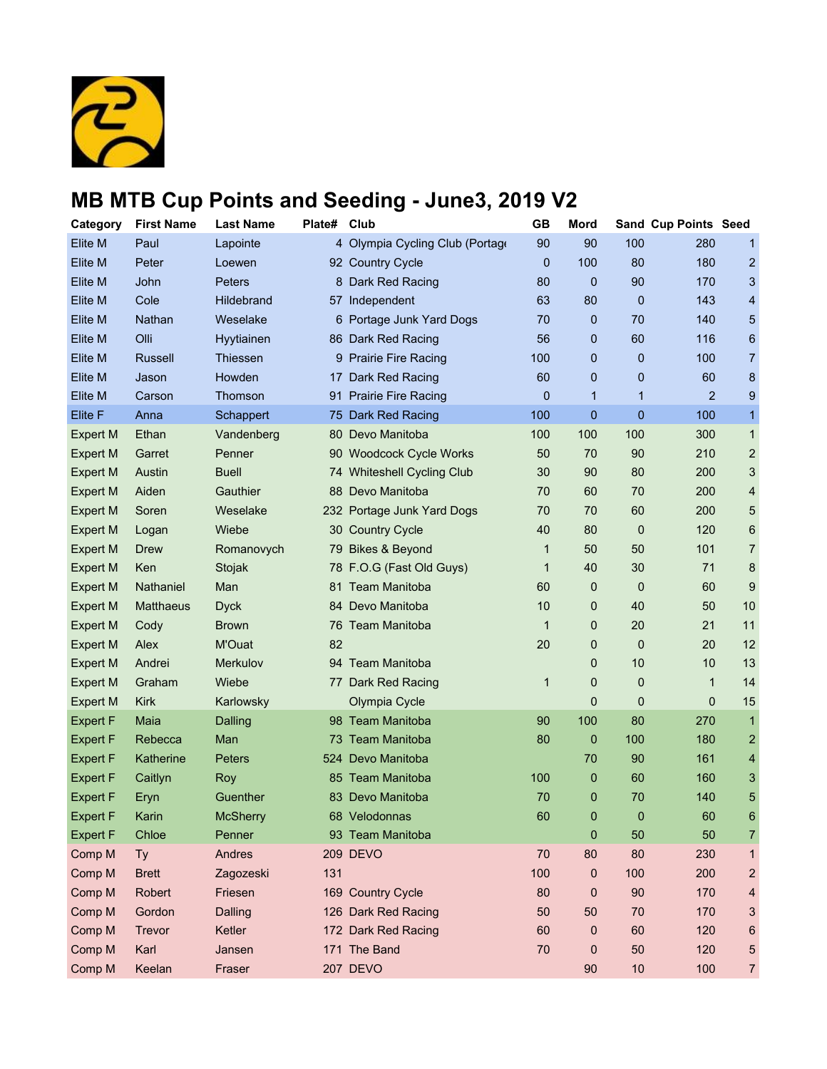

| <b>Category</b> | <b>First Name</b> | <b>Last Name</b> | Plate# | Club                            | <b>GB</b>    | <b>Mord</b> |             | Sand Cup Points Seed |                         |
|-----------------|-------------------|------------------|--------|---------------------------------|--------------|-------------|-------------|----------------------|-------------------------|
| Elite M         | Paul              | Lapointe         |        | 4 Olympia Cycling Club (Portage | 90           | 90          | 100         | 280                  | $\mathbf{1}$            |
| <b>Elite M</b>  | Peter             | Loewen           |        | 92 Country Cycle                | $\mathbf{0}$ | 100         | 80          | 180                  | $\overline{2}$          |
| <b>Elite M</b>  | John              | Peters           |        | 8 Dark Red Racing               | 80           | 0           | 90          | 170                  | 3                       |
| Elite M         | Cole              | Hildebrand       |        | 57 Independent                  | 63           | 80          | 0           | 143                  | $\overline{\mathbf{4}}$ |
| <b>Elite M</b>  | Nathan            | Weselake         |        | 6 Portage Junk Yard Dogs        | 70           | 0           | 70          | 140                  | 5                       |
| Elite M         | Olli              | Hyytiainen       |        | 86 Dark Red Racing              | 56           | 0           | 60          | 116                  | 6                       |
| <b>Elite M</b>  | <b>Russell</b>    | Thiessen         |        | 9 Prairie Fire Racing           | 100          | 0           | 0           | 100                  | $\overline{7}$          |
| <b>Elite M</b>  | Jason             | Howden           | 17     | Dark Red Racing                 | 60           | 0           | 0           | 60                   | 8                       |
| Elite M         | Carson            | Thomson          |        | 91 Prairie Fire Racing          | 0            | 1           | 1           | $\overline{2}$       | 9                       |
| Elite F         | Anna              | Schappert        |        | 75 Dark Red Racing              | 100          | 0           | 0           | 100                  | $\mathbf{1}$            |
| Expert M        | Ethan             | Vandenberg       | 80     | Devo Manitoba                   | 100          | 100         | 100         | 300                  | $\mathbf{1}$            |
| <b>Expert M</b> | Garret            | Penner           |        | 90 Woodcock Cycle Works         | 50           | 70          | 90          | 210                  | $\overline{c}$          |
| Expert M        | Austin            | <b>Buell</b>     |        | 74 Whiteshell Cycling Club      | 30           | 90          | 80          | 200                  | 3                       |
| <b>Expert M</b> | Aiden             | Gauthier         |        | 88 Devo Manitoba                | 70           | 60          | 70          | 200                  | 4                       |
| <b>Expert M</b> | Soren             | Weselake         |        | 232 Portage Junk Yard Dogs      | 70           | 70          | 60          | 200                  | 5                       |
| <b>Expert M</b> | Logan             | Wiebe            |        | 30 Country Cycle                | 40           | 80          | 0           | 120                  | $\,6$                   |
| <b>Expert M</b> | Drew              | Romanovych       |        | 79 Bikes & Beyond               | 1            | 50          | 50          | 101                  | $\overline{7}$          |
| <b>Expert M</b> | Ken               | Stojak           |        | 78 F.O.G (Fast Old Guys)        | 1            | 40          | 30          | 71                   | 8                       |
| <b>Expert M</b> | Nathaniel         | Man              |        | 81 Team Manitoba                | 60           | 0           | 0           | 60                   | 9                       |
| <b>Expert M</b> | <b>Matthaeus</b>  | <b>Dyck</b>      |        | 84 Devo Manitoba                | 10           | 0           | 40          | 50                   | 10                      |
| <b>Expert M</b> | Cody              | <b>Brown</b>     |        | 76 Team Manitoba                | $\mathbf{1}$ | 0           | 20          | 21                   | 11                      |
| <b>Expert M</b> | Alex              | M'Ouat           | 82     |                                 | 20           | 0           | 0           | 20                   | 12                      |
| <b>Expert M</b> | Andrei            | Merkulov         |        | 94 Team Manitoba                |              | 0           | 10          | 10                   | 13                      |
| <b>Expert M</b> | Graham            | Wiebe            |        | 77 Dark Red Racing              | 1            | 0           | 0           | $\mathbf 1$          | 14                      |
| <b>Expert M</b> | <b>Kirk</b>       | Karlowsky        |        | Olympia Cycle                   |              | 0           | 0           | 0                    | 15                      |
| <b>Expert F</b> | Maia              | Dalling          |        | 98 Team Manitoba                | 90           | 100         | 80          | 270                  | $\mathbf{1}$            |
| <b>Expert F</b> | Rebecca           | Man              |        | 73 Team Manitoba                | 80           | 0           | 100         | 180                  | $\overline{c}$          |
| <b>Expert F</b> | Katherine         | <b>Peters</b>    |        | 524 Devo Manitoba               |              | 70          | 90          | 161                  | 4                       |
| <b>Expert F</b> | Caitlyn           | Roy              |        | 85 Team Manitoba                | 100          | 0           | 60          | 160                  | 3                       |
| <b>Expert F</b> | Eryn              | Guenther         |        | 83 Devo Manitoba                | 70           | 0           | 70          | 140                  | 5                       |
| <b>Expert F</b> | Karin             | <b>McSherry</b>  |        | 68 Velodonnas                   | 60           | 0           | $\mathbf 0$ | 60                   | 6                       |
| <b>Expert F</b> | Chloe             | Penner           |        | 93 Team Manitoba                |              | 0           | 50          | 50                   | 7                       |
| Comp M          | Ty                | Andres           |        | 209 DEVO                        | 70           | 80          | 80          | 230                  | 1                       |
| Comp M          | <b>Brett</b>      | Zagozeski        | 131    |                                 | 100          | 0           | 100         | 200                  | 2                       |
| Comp M          | Robert            | Friesen          |        | 169 Country Cycle               | 80           | 0           | 90          | 170                  | 4                       |
| Comp M          | Gordon            | Dalling          |        | 126 Dark Red Racing             | 50           | 50          | 70          | 170                  | 3                       |
| Comp M          | Trevor            | Ketler           |        | 172 Dark Red Racing             | 60           | 0           | 60          | 120                  | 6                       |
| Comp M          | Karl              | Jansen           |        | 171 The Band                    | 70           | 0           | 50          | 120                  | 5                       |
| Comp M          | Keelan            | Fraser           |        | 207 DEVO                        |              | 90          | $10$        | 100                  | 7                       |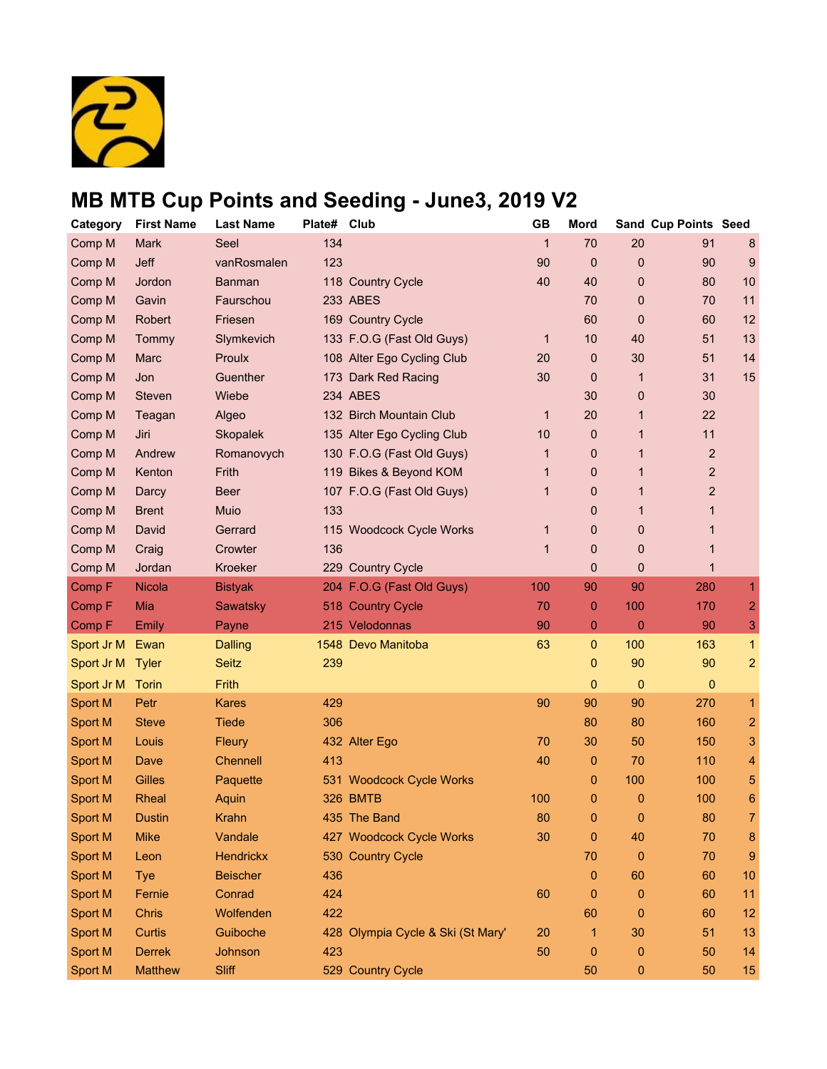

| Category       | <b>First Name</b> | <b>Last Name</b> | Plate# | Club                              | <b>GB</b>    | <b>Mord</b>  |                  | Sand Cup Points Seed |                |
|----------------|-------------------|------------------|--------|-----------------------------------|--------------|--------------|------------------|----------------------|----------------|
| Comp M         | <b>Mark</b>       | Seel             | 134    |                                   | $\mathbf{1}$ | 70           | 20               | 91                   | 8              |
| Comp M         | Jeff              | vanRosmalen      | 123    |                                   | 90           | $\mathbf 0$  | 0                | 90                   | 9              |
| Comp M         | Jordon            | <b>Banman</b>    |        | 118 Country Cycle                 | 40           | 40           | 0                | 80                   | 10             |
| Comp M         | Gavin             | Faurschou        |        | 233 ABES                          |              | 70           | 0                | 70                   | 11             |
| Comp M         | Robert            | Friesen          |        | 169 Country Cycle                 |              | 60           | 0                | 60                   | 12             |
| Comp M         | Tommy             | Slymkevich       |        | 133 F.O.G (Fast Old Guys)         | $\mathbf 1$  | 10           | 40               | 51                   | 13             |
| Comp M         | <b>Marc</b>       | Proulx           |        | 108 Alter Ego Cycling Club        | 20           | 0            | 30               | 51                   | 14             |
| Comp M         | Jon               | Guenther         |        | 173 Dark Red Racing               | 30           | 0            | $\mathbf{1}$     | 31                   | 15             |
| Comp M         | Steven            | Wiebe            |        | 234 ABES                          |              | 30           | 0                | 30                   |                |
| Comp M         | Teagan            | Algeo            |        | 132 Birch Mountain Club           | 1            | 20           | 1                | 22                   |                |
| Comp M         | Jiri              | Skopalek         |        | 135 Alter Ego Cycling Club        | 10           | 0            | 1                | 11                   |                |
| Comp M         | Andrew            | Romanovych       |        | 130 F.O.G (Fast Old Guys)         | 1            | 0            | 1                | $\mathbf 2$          |                |
| Comp M         | Kenton            | Frith            |        | 119 Bikes & Beyond KOM            | 1            | 0            | 1                | 2                    |                |
| Comp M         | Darcy             | <b>Beer</b>      |        | 107 F.O.G (Fast Old Guys)         | 1            | 0            | 1                | $\mathbf 2$          |                |
| Comp M         | <b>Brent</b>      | Muio             | 133    |                                   |              | 0            | 1                | 1                    |                |
| Comp M         | David             | Gerrard          |        | 115 Woodcock Cycle Works          | 1            | 0            | 0                | 1                    |                |
| Comp M         | Craig             | Crowter          | 136    |                                   | 1            | 0            | 0                | 1                    |                |
| Comp M         | Jordan            | Kroeker          |        | 229 Country Cycle                 |              | $\mathbf{0}$ | 0                | 1                    |                |
| Comp F         | Nicola            | <b>Bistyak</b>   |        | 204 F.O.G (Fast Old Guys)         | 100          | 90           | 90               | 280                  | 1              |
| Comp F         | Mia               | Sawatsky         |        | 518 Country Cycle                 | 70           | 0            | 100              | 170                  | $\overline{2}$ |
| Comp F         | Emily             | Payne            |        | 215 Velodonnas                    | 90           | 0            | $\pmb{0}$        | 90                   | 3              |
| Sport Jr M     | Ewan              | <b>Dalling</b>   |        | 1548 Devo Manitoba                | 63           | $\mathbf{0}$ | 100              | 163                  | $\overline{1}$ |
| Sport Jr M     | <b>Tyler</b>      | Seitz            | 239    |                                   |              | 0            | 90               | 90                   | $\overline{2}$ |
| Sport Jr M     | Torin             | Frith            |        |                                   |              | 0            | $\mathbf{0}$     | 0                    |                |
| <b>Sport M</b> | Petr              | <b>Kares</b>     | 429    |                                   | 90           | 90           | 90               | 270                  | $\mathbf{1}$   |
| <b>Sport M</b> | <b>Steve</b>      | <b>Tiede</b>     | 306    |                                   |              | 80           | 80               | 160                  | $\overline{2}$ |
| Sport M        | Louis             | <b>Fleury</b>    |        | 432 Alter Ego                     | 70           | 30           | 50               | 150                  | 3              |
| Sport M        | Dave              | <b>Chennell</b>  | 413    |                                   | 40           | 0            | 70               | 110                  | 4              |
| <b>Sport M</b> | <b>Gilles</b>     | Paquette         |        | 531 Woodcock Cycle Works          |              | 0            | 100              | 100                  | 5              |
| <b>Sport M</b> | Rheal             | Aquin            |        | 326 BMTB                          | 100          | 0            | $\mathbf 0$      | 100                  | 6              |
| <b>Sport M</b> | Dustin            | Krahn            |        | 435 The Band                      | 80           | $\mathbf{0}$ | 0                | 80                   | $\overline{7}$ |
| <b>Sport M</b> | <b>Mike</b>       | Vandale          |        | 427 Woodcock Cycle Works          | 30           | 0            | 40               | 70                   | 8              |
| Sport M        | Leon              | <b>Hendrickx</b> |        | 530 Country Cycle                 |              | 70           | $\mathbf 0$      | 70                   | 9              |
| <b>Sport M</b> | <b>Tye</b>        | <b>Beischer</b>  | 436    |                                   |              | 0            | 60               | 60                   | 10             |
| <b>Sport M</b> | Fernie            | Conrad           | 424    |                                   | 60           | 0            | $\boldsymbol{0}$ | 60                   | 11             |
| <b>Sport M</b> | Chris             | Wolfenden        | 422    |                                   |              | 60           | $\mathbf 0$      | 60                   | 12             |
| Sport M        | Curtis            | Guiboche         |        | 428 Olympia Cycle & Ski (St Mary' | 20           | 1            | 30               | 51                   | 13             |
| <b>Sport M</b> | <b>Derrek</b>     | Johnson          | 423    |                                   | 50           | 0            | 0                | 50                   | 14             |
| Sport M        | <b>Matthew</b>    | <b>Sliff</b>     |        | 529 Country Cycle                 |              | 50           | $\mathbf 0$      | 50                   | 15             |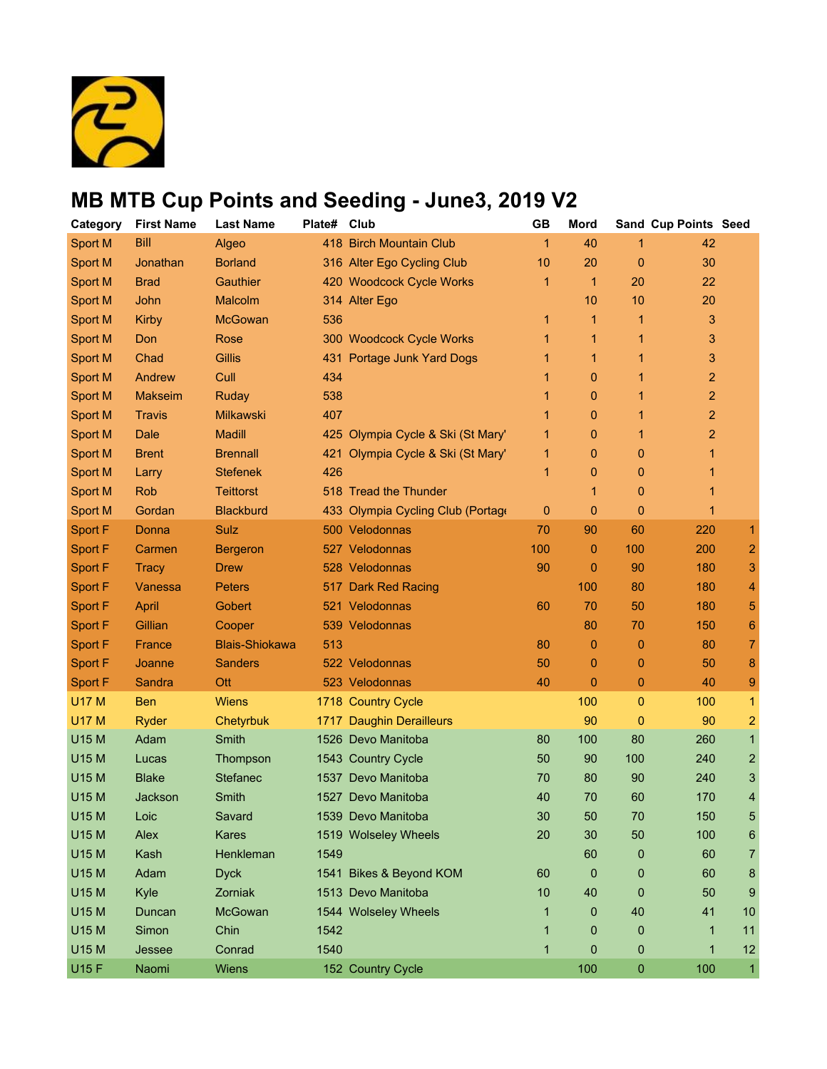

| Category       | <b>First Name</b> | <b>Last Name</b>      | Plate# | Club                              | <b>GB</b>    | Mord         |             | Sand Cup Points Seed    |                |
|----------------|-------------------|-----------------------|--------|-----------------------------------|--------------|--------------|-------------|-------------------------|----------------|
| Sport M        | <b>Bill</b>       | Algeo                 |        | 418 Birch Mountain Club           | $\mathbf{1}$ | 40           | 1           | 42                      |                |
| Sport M        | Jonathan          | <b>Borland</b>        |        | 316 Alter Ego Cycling Club        | 10           | 20           | 0           | 30                      |                |
| <b>Sport M</b> | <b>Brad</b>       | Gauthier              |        | 420 Woodcock Cycle Works          | 1            | $\mathbf{1}$ | 20          | 22                      |                |
| <b>Sport M</b> | John              | Malcolm               |        | 314 Alter Ego                     |              | 10           | 10          | 20                      |                |
| Sport M        | Kirby             | <b>McGowan</b>        | 536    |                                   | 1            | 1            | 1           | 3                       |                |
| Sport M        | Don               | Rose                  |        | 300 Woodcock Cycle Works          | 1            | 1            | 1           | 3                       |                |
| Sport M        | Chad              | <b>Gillis</b>         |        | 431 Portage Junk Yard Dogs        |              | 1            | 1           | 3                       |                |
| Sport M        | Andrew            | Cull                  | 434    |                                   |              | 0            | 1           | $\overline{c}$          |                |
| <b>Sport M</b> | <b>Makseim</b>    | Ruday                 | 538    |                                   | 1            | 0            | 1           | $\overline{\mathbf{c}}$ |                |
| Sport M        | <b>Travis</b>     | <b>Milkawski</b>      | 407    |                                   |              | $\mathbf{0}$ | 1           | $\overline{a}$          |                |
| Sport M        | <b>Dale</b>       | <b>Madill</b>         |        | 425 Olympia Cycle & Ski (St Mary' |              | 0            | 1           | 2                       |                |
| Sport M        | <b>Brent</b>      | <b>Brennall</b>       |        | 421 Olympia Cycle & Ski (St Mary' | 1            | 0            | 0           | 1                       |                |
| <b>Sport M</b> | Larry             | <b>Stefenek</b>       | 426    |                                   | 1            | $\mathbf{0}$ | 0           | 1                       |                |
| <b>Sport M</b> | <b>Rob</b>        | <b>Teittorst</b>      |        | 518 Tread the Thunder             |              | 1            | 0           | 1                       |                |
| <b>Sport M</b> | Gordan            | <b>Blackburd</b>      |        | 433 Olympia Cycling Club (Portage | 0            | 0            | 0           | 1                       |                |
| Sport F        | Donna             | Sulz                  |        | 500 Velodonnas                    | 70           | 90           | 60          | 220                     | 1              |
| Sport F        | Carmen            | <b>Bergeron</b>       |        | 527 Velodonnas                    | 100          | 0            | 100         | 200                     | 2              |
| Sport F        | <b>Tracy</b>      | <b>Drew</b>           |        | 528 Velodonnas                    | 90           | 0            | 90          | 180                     | 3              |
| Sport F        | Vanessa           | <b>Peters</b>         |        | 517 Dark Red Racing               |              | 100          | 80          | 180                     | 4              |
| Sport F        | April             | Gobert                |        | 521 Velodonnas                    | 60           | 70           | 50          | 180                     | 5              |
| Sport F        | Gillian           | Cooper                |        | 539 Velodonnas                    |              | 80           | 70          | 150                     | 6              |
| Sport F        | France            | <b>Blais-Shiokawa</b> | 513    |                                   | 80           | 0            | $\mathbf 0$ | 80                      | 7              |
| Sport F        | Joanne            | <b>Sanders</b>        |        | 522 Velodonnas                    | 50           | 0            | 0           | 50                      | 8              |
| Sport F        | Sandra            | <b>Ott</b>            |        | 523 Velodonnas                    | 40           | 0            | 0           | 40                      | 9              |
| <b>U17 M</b>   | <b>Ben</b>        | <b>Wiens</b>          |        | 1718 Country Cycle                |              | 100          | $\pmb{0}$   | 100                     | 1              |
| <b>U17 M</b>   | Ryder             | Chetyrbuk             |        | 1717 Daughin Derailleurs          |              | 90           | 0           | 90                      | $\overline{c}$ |
| U15 M          | Adam              | Smith                 |        | 1526 Devo Manitoba                | 80           | 100          | 80          | 260                     | 1              |
| U15 M          | Lucas             | Thompson              |        | 1543 Country Cycle                | 50           | 90           | 100         | 240                     | 2              |
| <b>U15 M</b>   | <b>Blake</b>      | <b>Stefanec</b>       |        | 1537 Devo Manitoba                | 70           | 80           | 90          | 240                     | 3              |
| U15 M          | Jackson           | Smith                 |        | 1527 Devo Manitoba                | 40           | 70           | 60          | 170                     | 4              |
| U15 M          | Loic              | Savard                |        | 1539 Devo Manitoba                | 30           | 50           | 70          | 150                     | 5              |
| <b>U15 M</b>   | Alex              | Kares                 |        | 1519 Wolseley Wheels              | 20           | 30           | 50          | 100                     | 6              |
| U15 M          | Kash              | Henkleman             | 1549   |                                   |              | 60           | 0           | 60                      | 7              |
| U15 M          | Adam              | <b>Dyck</b>           |        | 1541 Bikes & Beyond KOM           | 60           | 0            | 0           | 60                      | 8              |
| <b>U15 M</b>   | Kyle              | Zorniak               |        | 1513 Devo Manitoba                | 10           | 40           | 0           | 50                      | 9              |
| U15 M          | Duncan            | McGowan               |        | 1544 Wolseley Wheels              | 1            | 0            | 40          | 41                      | 10             |
| U15 M          | Simon             | Chin                  | 1542   |                                   | 1            | 0            | 0           | 1                       | 11             |
| <b>U15 M</b>   | Jessee            | Conrad                | 1540   |                                   | 1            | 0            | 0           | 1                       | 12             |
| <b>U15 F</b>   | Naomi             | Wiens                 |        | 152 Country Cycle                 |              | 100          | 0           | 100                     | $\mathbf{1}$   |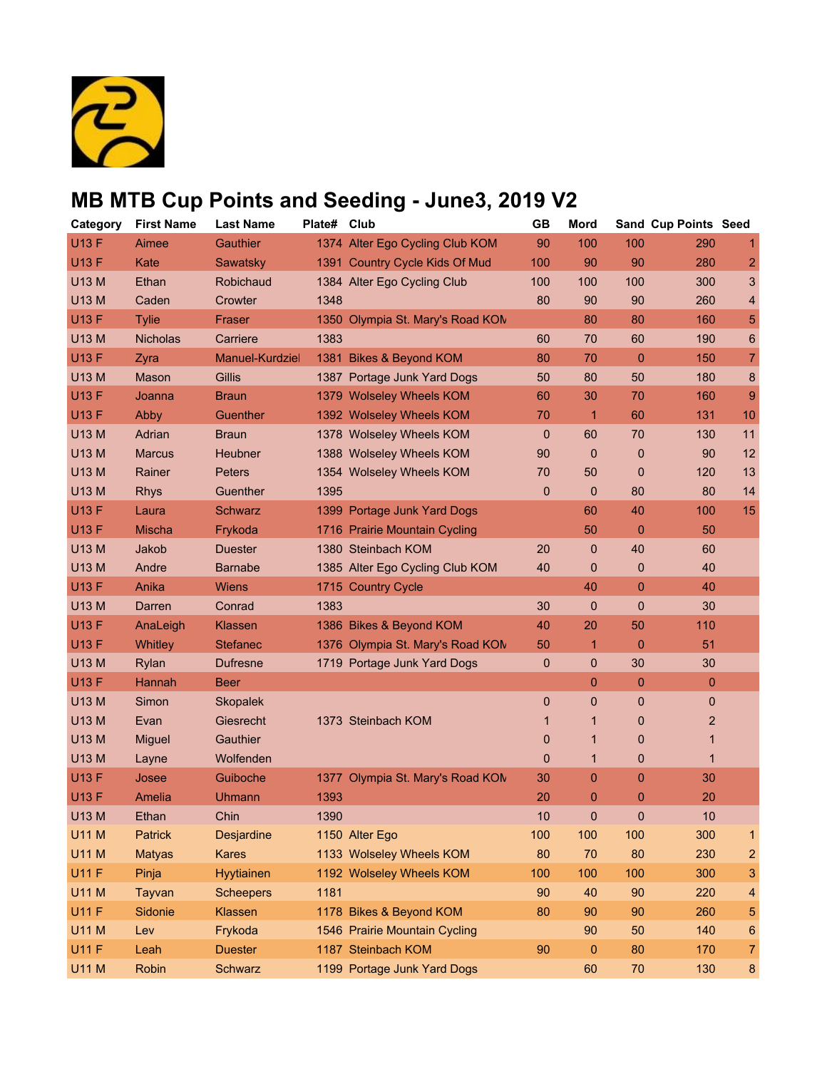

| Category     | <b>First Name</b> | <b>Last Name</b> | Plate# | Club                             | <b>GB</b> | Mord           |        | Sand Cup Points Seed |                |
|--------------|-------------------|------------------|--------|----------------------------------|-----------|----------------|--------|----------------------|----------------|
| <b>U13 F</b> | Aimee             | Gauthier         |        | 1374 Alter Ego Cycling Club KOM  | 90        | 100            | 100    | 290                  | 1              |
| <b>U13 F</b> | Kate              | Sawatsky         |        | 1391 Country Cycle Kids Of Mud   | 100       | 90             | 90     | 280                  | 2              |
| <b>U13 M</b> | Ethan             | Robichaud        |        | 1384 Alter Ego Cycling Club      | 100       | 100            | 100    | 300                  | 3              |
| <b>U13 M</b> | Caden             | Crowter          | 1348   |                                  | 80        | 90             | 90     | 260                  | 4              |
| <b>U13 F</b> | <b>Tylie</b>      | Fraser           |        | 1350 Olympia St. Mary's Road KON |           | 80             | 80     | 160                  | 5              |
| <b>U13 M</b> | <b>Nicholas</b>   | Carriere         | 1383   |                                  | 60        | 70             | 60     | 190                  | 6              |
| <b>U13 F</b> | Zyra              | Manuel-Kurdziel  |        | 1381 Bikes & Beyond KOM          | 80        | 70             | 0      | 150                  | $\overline{7}$ |
| <b>U13 M</b> | Mason             | Gillis           |        | 1387 Portage Junk Yard Dogs      | 50        | 80             | 50     | 180                  | 8              |
| <b>U13 F</b> | Joanna            | <b>Braun</b>     |        | 1379 Wolseley Wheels KOM         | 60        | 30             | 70     | 160                  | $\overline{9}$ |
| <b>U13 F</b> | Abby              | Guenther         |        | 1392 Wolseley Wheels KOM         | 70        | 1              | 60     | 131                  | 10             |
| <b>U13 M</b> | Adrian            | <b>Braun</b>     |        | 1378 Wolseley Wheels KOM         | 0         | 60             | 70     | 130                  | 11             |
| <b>U13 M</b> | <b>Marcus</b>     | Heubner          |        | 1388 Wolseley Wheels KOM         | 90        | $\mathbf 0$    | 0      | 90                   | 12             |
| <b>U13 M</b> | Rainer            | <b>Peters</b>    |        | 1354 Wolseley Wheels KOM         | 70        | 50             | 0      | 120                  | 13             |
| <b>U13 M</b> | <b>Rhys</b>       | Guenther         | 1395   |                                  | 0         | $\mathbf 0$    | 80     | 80                   | 14             |
| <b>U13 F</b> | Laura             | Schwarz          |        | 1399 Portage Junk Yard Dogs      |           | 60             | 40     | 100                  | 15             |
| <b>U13 F</b> | <b>Mischa</b>     | Frykoda          |        | 1716 Prairie Mountain Cycling    |           | 50             | 0      | 50                   |                |
| <b>U13 M</b> | Jakob             | <b>Duester</b>   |        | 1380 Steinbach KOM               | 20        | $\mathbf{0}$   | 40     | 60                   |                |
| <b>U13 M</b> | Andre             | <b>Barnabe</b>   |        | 1385 Alter Ego Cycling Club KOM  | 40        | 0              | 0      | 40                   |                |
| <b>U13 F</b> | Anika             | <b>Wiens</b>     |        | 1715 Country Cycle               |           | 40             | 0      | 40                   |                |
| <b>U13 M</b> | Darren            | Conrad           | 1383   |                                  | 30        | $\mathbf 0$    | 0      | 30                   |                |
| <b>U13 F</b> | AnaLeigh          | Klassen          |        | 1386 Bikes & Beyond KOM          | 40        | 20             | 50     | 110                  |                |
| <b>U13 F</b> | <b>Whitley</b>    | <b>Stefanec</b>  |        | 1376 Olympia St. Mary's Road KON | 50        | 1              | 0      | 51                   |                |
| U13 M        | Rylan             | <b>Dufresne</b>  |        | 1719 Portage Junk Yard Dogs      | 0         | $\mathbf 0$    | 30     | 30                   |                |
| <b>U13 F</b> | Hannah            | <b>Beer</b>      |        |                                  |           | $\mathbf{0}$   | 0      | 0                    |                |
| <b>U13 M</b> | Simon             | <b>Skopalek</b>  |        |                                  | 0         | $\overline{0}$ | 0      | $\mathbf{0}$         |                |
| <b>U13 M</b> | Evan              | Giesrecht        |        | 1373 Steinbach KOM               | 1         | 1              | 0      | $\overline{c}$       |                |
| <b>U13 M</b> | <b>Miguel</b>     | Gauthier         |        |                                  | 0         | 1              | 0      | 1                    |                |
| <b>U13 M</b> | Layne             | Wolfenden        |        |                                  | 0         | 1              | 0      | $\mathbf 1$          |                |
| <b>U13 F</b> | Josee             | Guiboche         |        | 1377 Olympia St. Mary's Road KON | 30        | 0              | 0      | 30                   |                |
| <b>U13 F</b> | Amelia            | Uhmann           | 1393   |                                  | 20        | 0              | 0      | 20                   |                |
| <b>U13 M</b> | Ethan             | Chin             | 1390   |                                  | 10        | $\overline{0}$ | 0      | 10                   |                |
| <b>U11 M</b> | Patrick           | Desjardine       |        | 1150 Alter Ego                   | 100       | 100            | 100    | 300                  | 1              |
| <b>U11 M</b> | <b>Matyas</b>     | <b>Kares</b>     |        | 1133 Wolseley Wheels KOM         | 80        | 70             | 80     | 230                  | 2              |
| <b>U11 F</b> | Pinja             | Hyytiainen       |        | 1192 Wolseley Wheels KOM         | 100       | 100            | 100    | 300                  | 3              |
| <b>U11 M</b> | Tayvan            | <b>Scheepers</b> | 1181   |                                  | 90        | 40             | 90     | 220                  | 4              |
| <b>U11 F</b> | Sidonie           | Klassen          |        | 1178 Bikes & Beyond KOM          | 80        | 90             | 90     | 260                  | 5              |
| <b>U11 M</b> | Lev               | Frykoda          |        | 1546 Prairie Mountain Cycling    |           | 90             | 50     | 140                  | 6              |
| <b>U11 F</b> | Leah              | <b>Duester</b>   |        | 1187 Steinbach KOM               | 90        | 0              | 80     | 170                  | 7              |
| <b>U11 M</b> | Robin             | Schwarz          |        | 1199 Portage Junk Yard Dogs      |           | 60             | $70\,$ | 130                  | $\bf 8$        |